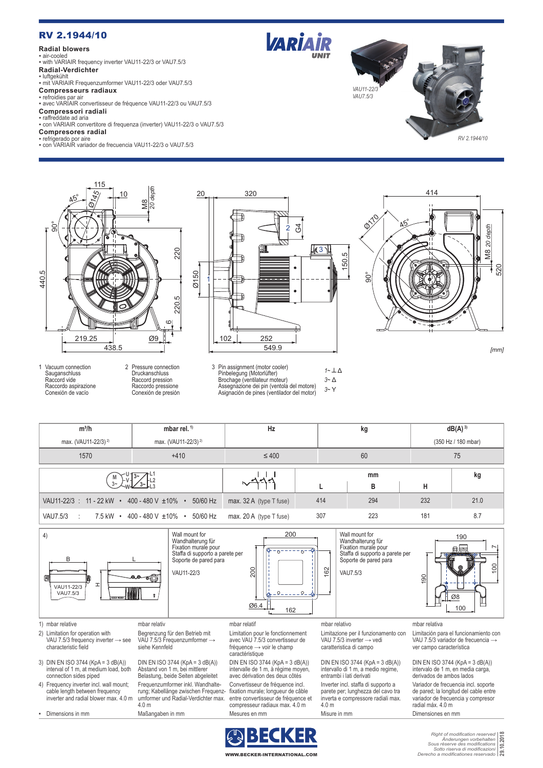# RV 2.1944/10

## **Radial blowers**

▪ air-cooled ▪ with VARIAIR frequency inverter VAU11-22/3 or VAU7.5/3 **Radial-Verdichter**

# ▪ luftgekühlt

▪ mit VARIAIR Frequenzumformer VAU11-22/3 oder VAU7.5/3

#### **Compresseurs radiaux** ▪ refroidies par air

▪ avec VARIAIR convertisseur de fréquence VAU11-22/3 ou VAU7.5/3 **Compressori radiali**

### ▪ raffreddate ad aria

▪ con VARIAIR convertitore di frequenza (inverter) VAU11-22/3 o VAU7.5/3

# **Compresores radial**

▪ refrigerado por aire ▪ con VARIAIR variador de frecuencia VAU11-22/3 o VAU7.5/3



Druckanschluss Raccord pression Raccordo pressione Conexión de presión

1 Vacuum connection Sauganschluss Raccord vide Raccordo aspirazione Conexión de vacío



**VARIAIR** 







*[mm]*





▪ Dimensions in mm Maßangaben in mm Mesures en mm Misure in mm Dimensiones en mm

radial máx. 4.0 m

WWW.BECKER-INTERNATIONAL.COM

*Right of modification reserved Änderungen vorbehalten Sous réserve des modifications Sotto riserva di modificazioni Derecho a modificationes reservado* **29.10.2018** $\frac{201}{201}$